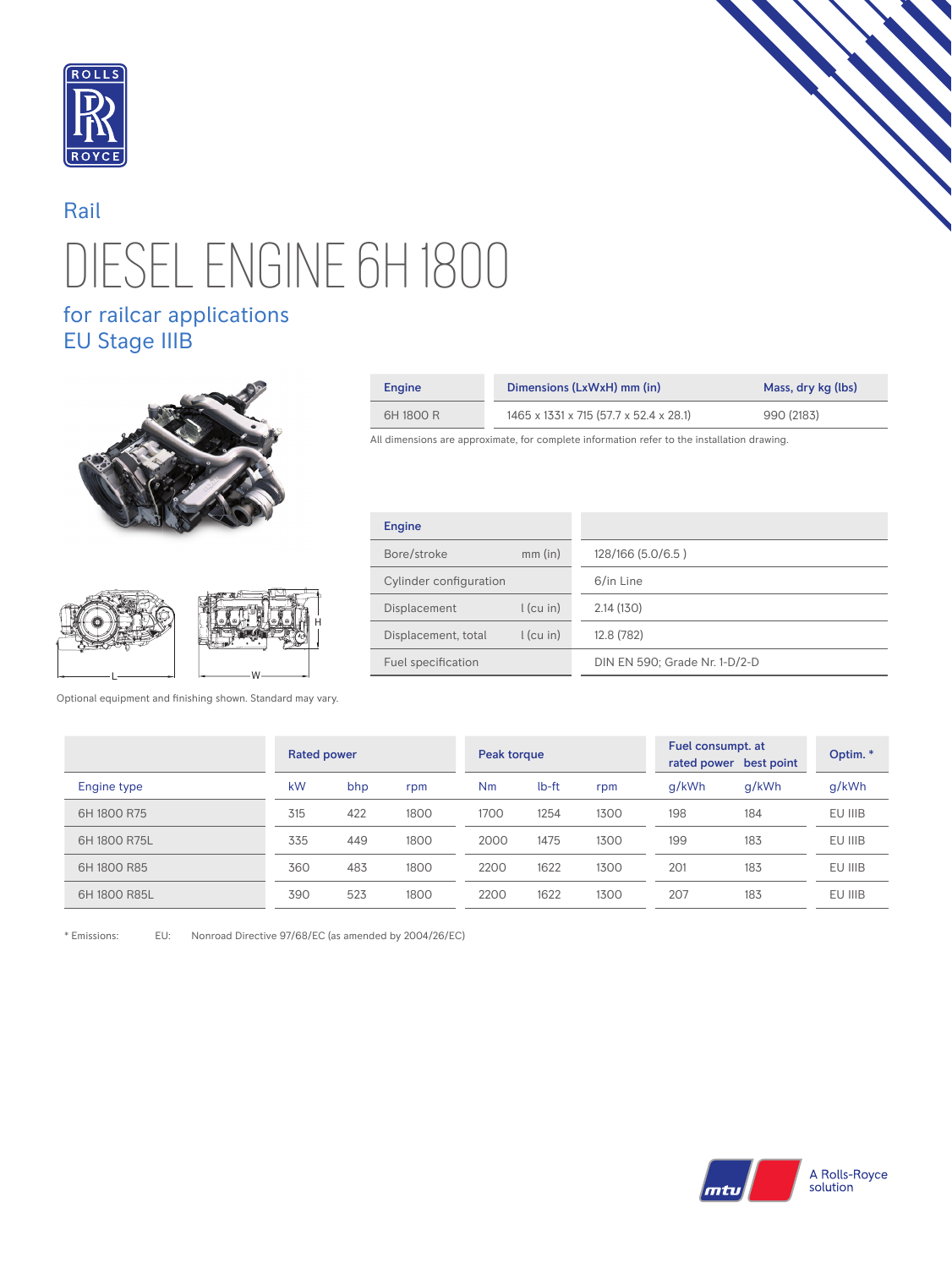

## DIESEL ENGINE 6H 1800 Rail

## for railcar applications EU Stage IIIB





H

Optional equipment and finishing shown. Standard may vary.

| Engine    | Dimensions (LxWxH) mm (in)             | Mass, dry kg (lbs) |  |  |  |
|-----------|----------------------------------------|--------------------|--|--|--|
| 6H 1800 R | 1465 x 1331 x 715 (57.7 x 52.4 x 28.1) | 990 (2183)         |  |  |  |

All dimensions are approximate, for complete information refer to the installation drawing.

| <b>Engine</b>                      |                               |  |  |  |
|------------------------------------|-------------------------------|--|--|--|
| Bore/stroke<br>$mm$ (in)           | 128/166 (5.0/6.5)             |  |  |  |
| Cylinder configuration             | 6/in Line                     |  |  |  |
| $l$ (cu in)<br>Displacement        | 2.14(130)                     |  |  |  |
| $l$ (cu in)<br>Displacement, total | 12.8 (782)                    |  |  |  |
| Fuel specification                 | DIN EN 590; Grade Nr. 1-D/2-D |  |  |  |

|              | <b>Rated power</b> |     |      | Peak torque |       |      | Fuel consumpt. at<br>rated power best point |       | Optim.* |
|--------------|--------------------|-----|------|-------------|-------|------|---------------------------------------------|-------|---------|
| Engine type  | kW                 | bhp | rpm  | Nm          | lb-ft | rpm  | q/kWh                                       | g/kWh | g/kWh   |
| 6H 1800 R75  | 315                | 422 | 1800 | 1700        | 1254  | 1300 | 198                                         | 184   | EU IIIB |
| 6H 1800 R75L | 335                | 449 | 1800 | 2000        | 1475  | 1300 | 199                                         | 183   | EU IIIB |
| 6H 1800 R85  | 360                | 483 | 1800 | 2200        | 1622  | 1300 | 201                                         | 183   | EU IIIB |
| 6H 1800 R85L | 390                | 523 | 1800 | 2200        | 1622  | 1300 | 207                                         | 183   | EU IIIB |

\* Emissions: EU: Nonroad Directive 97/68/EC (as amended by 2004/26/EC)